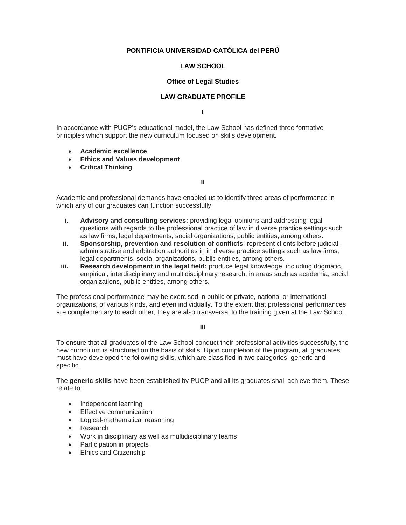## **PONTIFICIA UNIVERSIDAD CATÓLICA del PERÚ**

## **LAW SCHOOL**

## **Office of Legal Studies**

## **LAW GRADUATE PROFILE**

**I**

In accordance with PUCP's educational model, the Law School has defined three formative principles which support the new curriculum focused on skills development.

- **Academic excellence**
- **Ethics and Values development**
- **Critical Thinking**

**II**

Academic and professional demands have enabled us to identify three areas of performance in which any of our graduates can function successfully.

- **i. Advisory and consulting services:** providing legal opinions and addressing legal questions with regards to the professional practice of law in diverse practice settings such as law firms, legal departments, social organizations, public entities, among others.
- **ii. Sponsorship, prevention and resolution of conflicts**: represent clients before judicial, administrative and arbitration authorities in in diverse practice settings such as law firms, legal departments, social organizations, public entities, among others.
- **iii. Research development in the legal field:** produce legal knowledge, including dogmatic, empirical, interdisciplinary and multidisciplinary research, in areas such as academia, social organizations, public entities, among others.

The professional performance may be exercised in public or private, national or international organizations, of various kinds, and even individually. To the extent that professional performances are complementary to each other, they are also transversal to the training given at the Law School.

**III**

To ensure that all graduates of the Law School conduct their professional activities successfully, the new curriculum is structured on the basis of skills. Upon completion of the program, all graduates must have developed the following skills, which are classified in two categories: generic and specific.

The **generic skills** have been established by PUCP and all its graduates shall achieve them. These relate to:

- Independent learning
- Effective communication
- Logical-mathematical reasoning
- Research
- Work in disciplinary as well as multidisciplinary teams
- Participation in projects
- Ethics and Citizenship